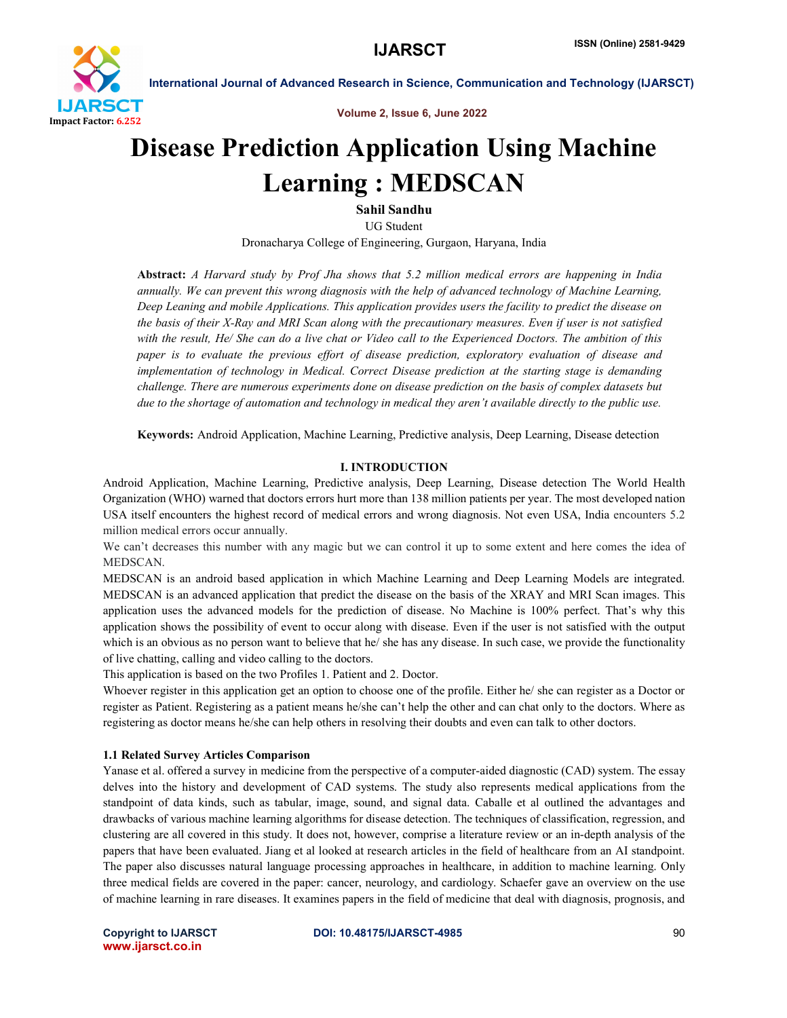

Volume 2, Issue 6, June 2022

## Disease Prediction Application Using Machine Learning : MEDSCAN

Sahil Sandhu

UG Student

Dronacharya College of Engineering, Gurgaon, Haryana, India

Abstract: *A Harvard study by Prof Jha shows that 5.2 million medical errors are happening in India annually. We can prevent this wrong diagnosis with the help of advanced technology of Machine Learning, Deep Leaning and mobile Applications. This application provides users the facility to predict the disease on the basis of their X-Ray and MRI Scan along with the precautionary measures. Even if user is not satisfied with the result, He/ She can do a live chat or Video call to the Experienced Doctors. The ambition of this paper is to evaluate the previous effort of disease prediction, exploratory evaluation of disease and implementation of technology in Medical. Correct Disease prediction at the starting stage is demanding challenge. There are numerous experiments done on disease prediction on the basis of complex datasets but due to the shortage of automation and technology in medical they aren't available directly to the public use.*

Keywords: Android Application, Machine Learning, Predictive analysis, Deep Learning, Disease detection

#### I. INTRODUCTION

Android Application, Machine Learning, Predictive analysis, Deep Learning, Disease detection The World Health Organization (WHO) warned that doctors errors hurt more than 138 million patients per year. The most developed nation USA itself encounters the highest record of medical errors and wrong diagnosis. Not even USA, India encounters 5.2 million medical errors occur annually.

We can't decreases this number with any magic but we can control it up to some extent and here comes the idea of MEDSCAN.

MEDSCAN is an android based application in which Machine Learning and Deep Learning Models are integrated. MEDSCAN is an advanced application that predict the disease on the basis of the XRAY and MRI Scan images. This application uses the advanced models for the prediction of disease. No Machine is 100% perfect. That's why this application shows the possibility of event to occur along with disease. Even if the user is not satisfied with the output which is an obvious as no person want to believe that he/ she has any disease. In such case, we provide the functionality of live chatting, calling and video calling to the doctors.

This application is based on the two Profiles 1. Patient and 2. Doctor.

Whoever register in this application get an option to choose one of the profile. Either he/ she can register as a Doctor or register as Patient. Registering as a patient means he/she can't help the other and can chat only to the doctors. Where as registering as doctor means he/she can help others in resolving their doubts and even can talk to other doctors.

#### 1.1 Related Survey Articles Comparison

Yanase et al. offered a survey in medicine from the perspective of a computer-aided diagnostic (CAD) system. The essay delves into the history and development of CAD systems. The study also represents medical applications from the standpoint of data kinds, such as tabular, image, sound, and signal data. Caballe et al outlined the advantages and drawbacks of various machine learning algorithms for disease detection. The techniques of classification, regression, and clustering are all covered in this study. It does not, however, comprise a literature review or an in-depth analysis of the papers that have been evaluated. Jiang et al looked at research articles in the field of healthcare from an AI standpoint. The paper also discusses natural language processing approaches in healthcare, in addition to machine learning. Only three medical fields are covered in the paper: cancer, neurology, and cardiology. Schaefer gave an overview on the use of machine learning in rare diseases. It examines papers in the field of medicine that deal with diagnosis, prognosis, and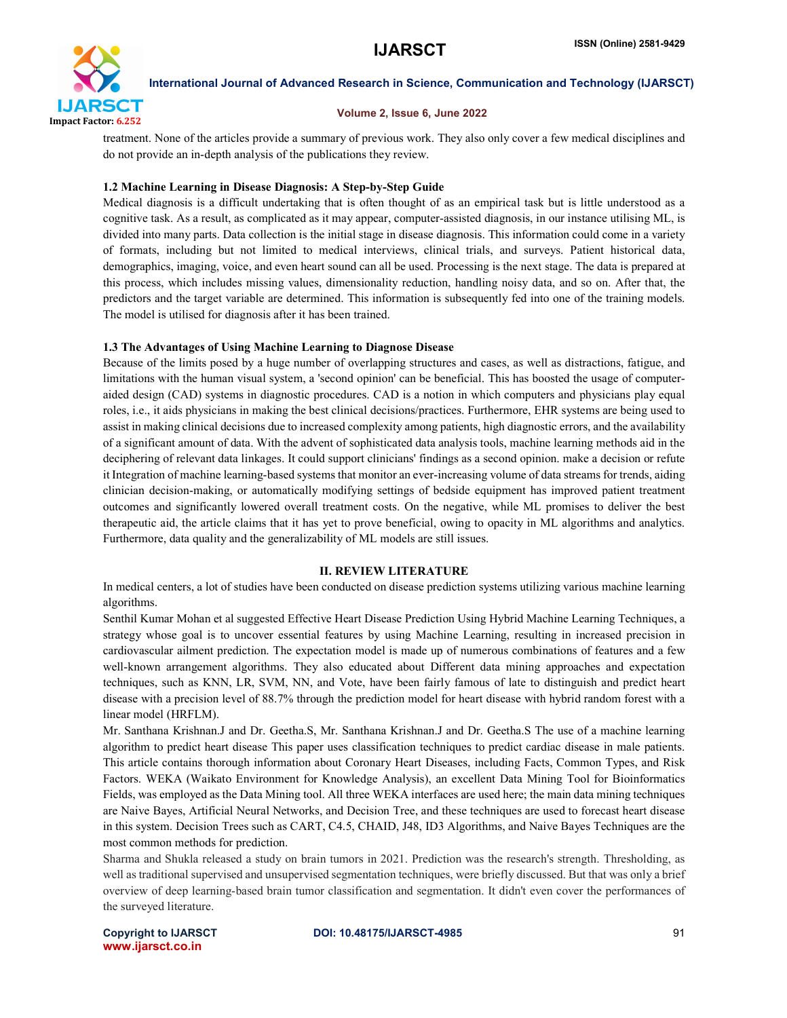

#### Volume 2, Issue 6, June 2022

treatment. None of the articles provide a summary of previous work. They also only cover a few medical disciplines and do not provide an in-depth analysis of the publications they review.

#### 1.2 Machine Learning in Disease Diagnosis: A Step-by-Step Guide

Medical diagnosis is a difficult undertaking that is often thought of as an empirical task but is little understood as a cognitive task. As a result, as complicated as it may appear, computer-assisted diagnosis, in our instance utilising ML, is divided into many parts. Data collection is the initial stage in disease diagnosis. This information could come in a variety of formats, including but not limited to medical interviews, clinical trials, and surveys. Patient historical data, demographics, imaging, voice, and even heart sound can all be used. Processing is the next stage. The data is prepared at this process, which includes missing values, dimensionality reduction, handling noisy data, and so on. After that, the predictors and the target variable are determined. This information is subsequently fed into one of the training models. The model is utilised for diagnosis after it has been trained.

#### 1.3 The Advantages of Using Machine Learning to Diagnose Disease

Because of the limits posed by a huge number of overlapping structures and cases, as well as distractions, fatigue, and limitations with the human visual system, a 'second opinion' can be beneficial. This has boosted the usage of computeraided design (CAD) systems in diagnostic procedures. CAD is a notion in which computers and physicians play equal roles, i.e., it aids physicians in making the best clinical decisions/practices. Furthermore, EHR systems are being used to assist in making clinical decisions due to increased complexity among patients, high diagnostic errors, and the availability of a significant amount of data. With the advent of sophisticated data analysis tools, machine learning methods aid in the deciphering of relevant data linkages. It could support clinicians' findings as a second opinion. make a decision or refute it Integration of machine learning-based systems that monitor an ever-increasing volume of data streams for trends, aiding clinician decision-making, or automatically modifying settings of bedside equipment has improved patient treatment outcomes and significantly lowered overall treatment costs. On the negative, while ML promises to deliver the best therapeutic aid, the article claims that it has yet to prove beneficial, owing to opacity in ML algorithms and analytics. Furthermore, data quality and the generalizability of ML models are still issues.

#### II. REVIEW LITERATURE

In medical centers, a lot of studies have been conducted on disease prediction systems utilizing various machine learning algorithms.

Senthil Kumar Mohan et al suggested Effective Heart Disease Prediction Using Hybrid Machine Learning Techniques, a strategy whose goal is to uncover essential features by using Machine Learning, resulting in increased precision in cardiovascular ailment prediction. The expectation model is made up of numerous combinations of features and a few well-known arrangement algorithms. They also educated about Different data mining approaches and expectation techniques, such as KNN, LR, SVM, NN, and Vote, have been fairly famous of late to distinguish and predict heart disease with a precision level of 88.7% through the prediction model for heart disease with hybrid random forest with a linear model (HRFLM).

Mr. Santhana Krishnan.J and Dr. Geetha.S, Mr. Santhana Krishnan.J and Dr. Geetha.S The use of a machine learning algorithm to predict heart disease This paper uses classification techniques to predict cardiac disease in male patients. This article contains thorough information about Coronary Heart Diseases, including Facts, Common Types, and Risk Factors. WEKA (Waikato Environment for Knowledge Analysis), an excellent Data Mining Tool for Bioinformatics Fields, was employed as the Data Mining tool. All three WEKA interfaces are used here; the main data mining techniques are Naive Bayes, Artificial Neural Networks, and Decision Tree, and these techniques are used to forecast heart disease in this system. Decision Trees such as CART, C4.5, CHAID, J48, ID3 Algorithms, and Naive Bayes Techniques are the most common methods for prediction.

Sharma and Shukla released a study on brain tumors in 2021. Prediction was the research's strength. Thresholding, as well as traditional supervised and unsupervised segmentation techniques, were briefly discussed. But that was only a brief overview of deep learning-based brain tumor classification and segmentation. It didn't even cover the performances of the surveyed literature.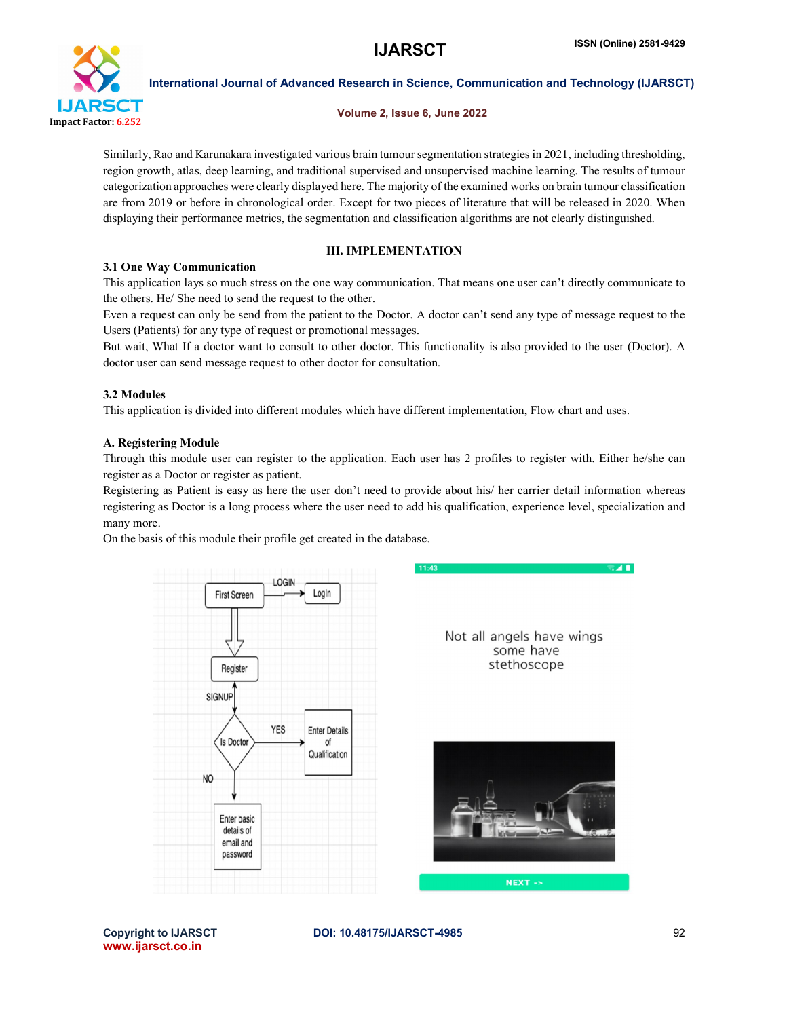**AB** 



International Journal of Advanced Research in Science, Communication and Technology (IJARSCT)

#### Volume 2, Issue 6, June 2022

Similarly, Rao and Karunakara investigated various brain tumour segmentation strategies in 2021, including thresholding, region growth, atlas, deep learning, and traditional supervised and unsupervised machine learning. The results of tumour categorization approaches were clearly displayed here. The majority of the examined works on brain tumour classification are from 2019 or before in chronological order. Except for two pieces of literature that will be released in 2020. When displaying their performance metrics, the segmentation and classification algorithms are not clearly distinguished.

## III. IMPLEMENTATION

#### 3.1 One Way Communication

This application lays so much stress on the one way communication. That means one user can't directly communicate to the others. He/ She need to send the request to the other.

Even a request can only be send from the patient to the Doctor. A doctor can't send any type of message request to the Users (Patients) for any type of request or promotional messages.

But wait, What If a doctor want to consult to other doctor. This functionality is also provided to the user (Doctor). A doctor user can send message request to other doctor for consultation.

#### 3.2 Modules

This application is divided into different modules which have different implementation, Flow chart and uses.

#### A. Registering Module

Through this module user can register to the application. Each user has 2 profiles to register with. Either he/she can register as a Doctor or register as patient.

Registering as Patient is easy as here the user don't need to provide about his/ her carrier detail information whereas registering as Doctor is a long process where the user need to add his qualification, experience level, specialization and many more.

On the basis of this module their profile get created in the database.



Not all angels have wings some have stethoscope

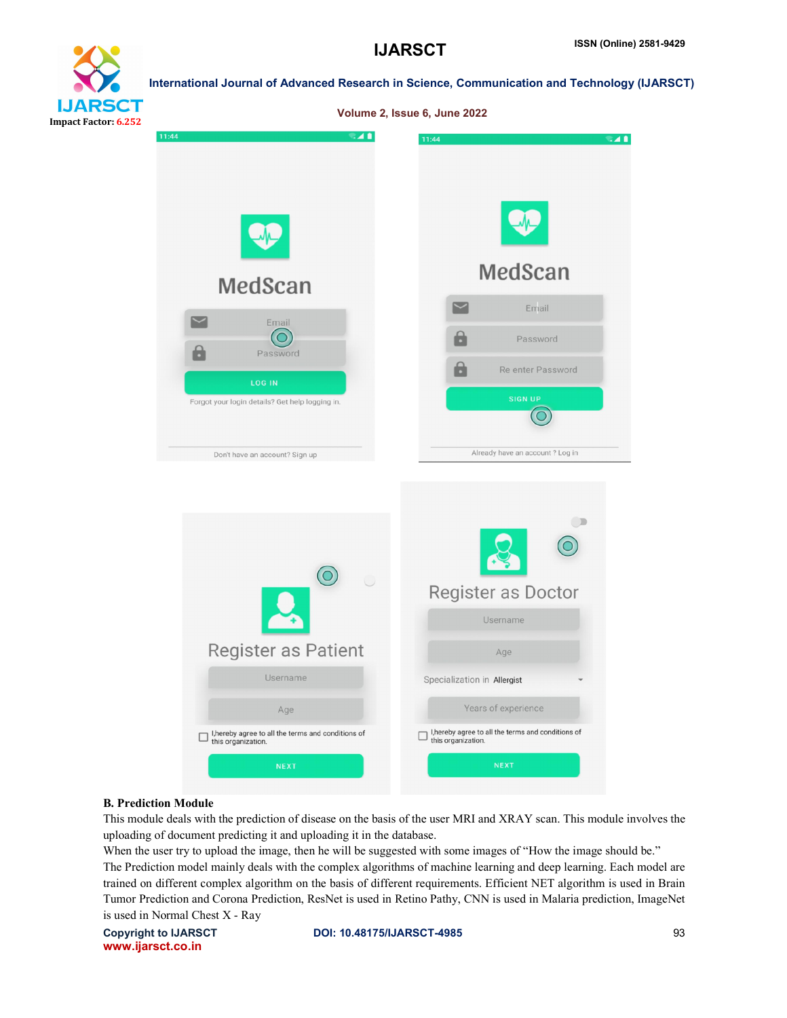## **IJARSCT** Impact Factor: 6.252

 International Journal of Advanced Research in Science, Communication and Technology (IJARSCT) Volume 2, Issue 6, June 2022 48 MedScan MedScan  $\blacktriangleright$ Email  $\overline{\phantom{0}}$ Email (O  $\mathbf{a}$ Password

a

Re enter Password

 $\overline{O}$ 

**SIGN UP** 

Already have an account? Log in



#### B. Prediction Module

 $\mathbf{a}$ 

Password

Forgot your login details? Get help logging in.

Don't have an account? Sign up

This module deals with the prediction of disease on the basis of the user MRI and XRAY scan. This module involves the uploading of document predicting it and uploading it in the database.

When the user try to upload the image, then he will be suggested with some images of "How the image should be."

The Prediction model mainly deals with the complex algorithms of machine learning and deep learning. Each model are trained on different complex algorithm on the basis of different requirements. Efficient NET algorithm is used in Brain Tumor Prediction and Corona Prediction, ResNet is used in Retino Pathy, CNN is used in Malaria prediction, ImageNet is used in Normal Chest X - Ray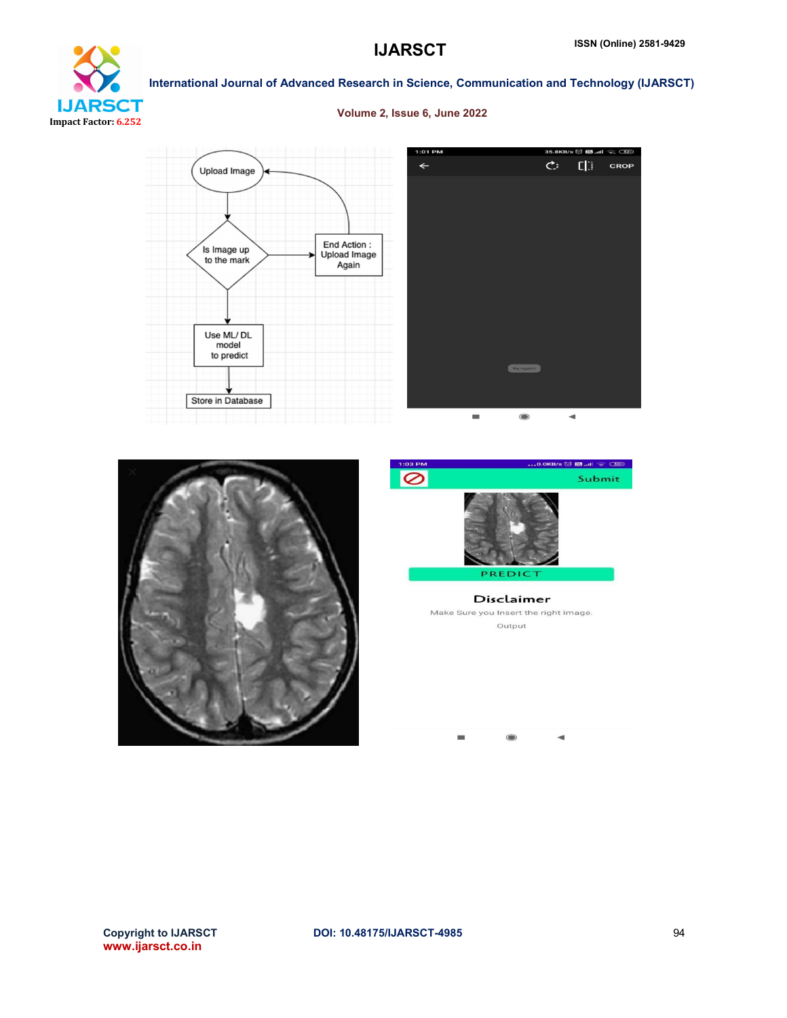CROP



#### International Journal of Advanced Research in Science, Communication and Technology (IJARSCT)

#### Volume 2, Issue 6, June 2022





Ò.

 $[$ 





Output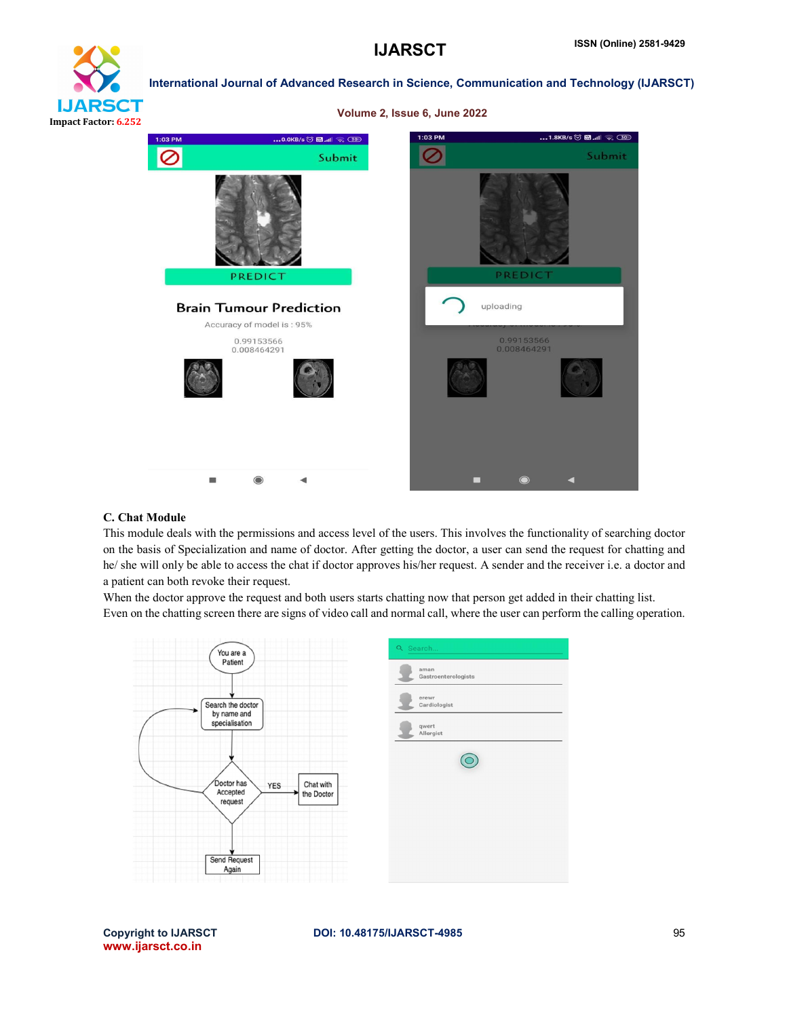# **IJARSCT** Impact Factor: 6.252

International Journal of Advanced Research in Science, Communication and Technology (IJARSCT)



#### C. Chat Module

This module deals with the permissions and access level of the users. This involves the functionality of searching doctor on the basis of Specialization and name of doctor. After getting the doctor, a user can send the request for chatting and he/ she will only be able to access the chat if doctor approves his/her request. A sender and the receiver i.e. a doctor and a patient can both revoke their request.

When the doctor approve the request and both users starts chatting now that person get added in their chatting list. Even on the chatting screen there are signs of video call and normal call, where the user can perform the calling operation.

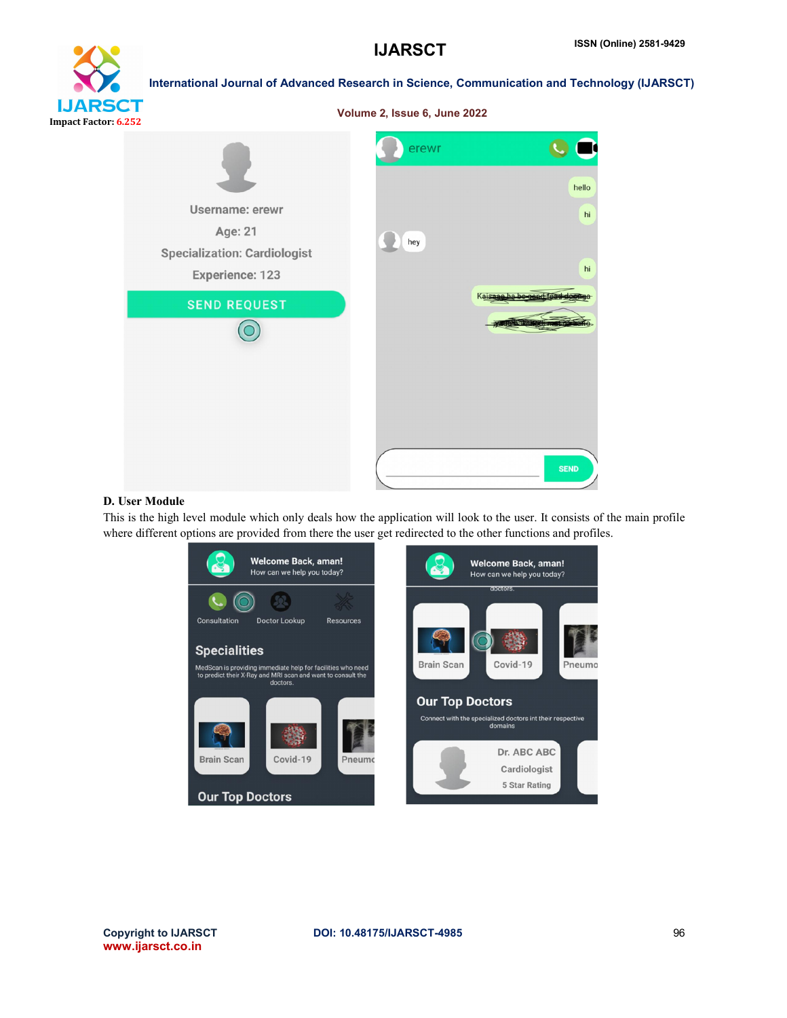



#### D. User Module

This is the high level module which only deals how the application will look to the user. It consists of the main profile where different options are provided from there the user get redirected to the other functions and profiles.

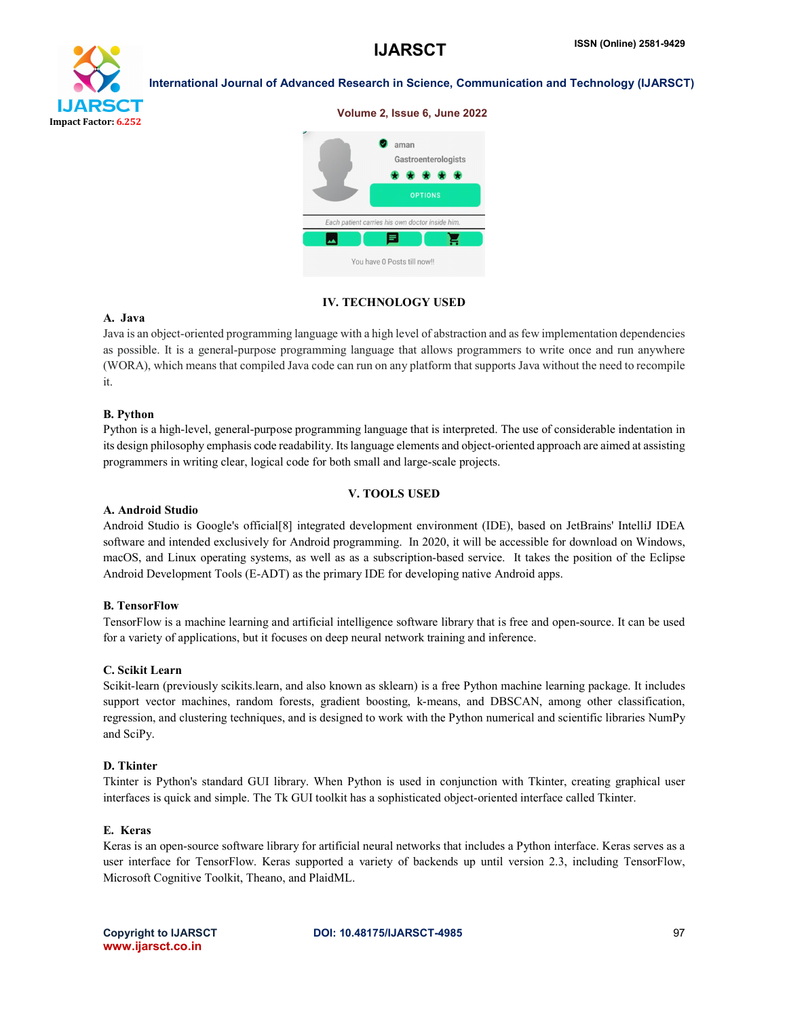



#### IV. TECHNOLOGY USED

#### A. Java

Java is an object-oriented programming language with a high level of abstraction and as few implementation dependencies as possible. It is a general-purpose programming language that allows programmers to write once and run anywhere (WORA), which means that compiled Java code can run on any platform that supports Java without the need to recompile it.

#### B. Python

Python is a high-level, general-purpose programming language that is interpreted. The use of considerable indentation in its design philosophy emphasis code readability. Its language elements and object-oriented approach are aimed at assisting programmers in writing clear, logical code for both small and large-scale projects.

### V. TOOLS USED

#### A. Android Studio

Android Studio is Google's official[8] integrated development environment (IDE), based on JetBrains' IntelliJ IDEA software and intended exclusively for Android programming. In 2020, it will be accessible for download on Windows, macOS, and Linux operating systems, as well as as a subscription-based service. It takes the position of the Eclipse Android Development Tools (E-ADT) as the primary IDE for developing native Android apps.

#### B. TensorFlow

TensorFlow is a machine learning and artificial intelligence software library that is free and open-source. It can be used for a variety of applications, but it focuses on deep neural network training and inference.

#### C. Scikit Learn

Scikit-learn (previously scikits.learn, and also known as sklearn) is a free Python machine learning package. It includes support vector machines, random forests, gradient boosting, k-means, and DBSCAN, among other classification, regression, and clustering techniques, and is designed to work with the Python numerical and scientific libraries NumPy and SciPy.

#### D. Tkinter

Tkinter is Python's standard GUI library. When Python is used in conjunction with Tkinter, creating graphical user interfaces is quick and simple. The Tk GUI toolkit has a sophisticated object-oriented interface called Tkinter.

#### E. Keras

Keras is an open-source software library for artificial neural networks that includes a Python interface. Keras serves as a user interface for TensorFlow. Keras supported a variety of backends up until version 2.3, including TensorFlow, Microsoft Cognitive Toolkit, Theano, and PlaidML.